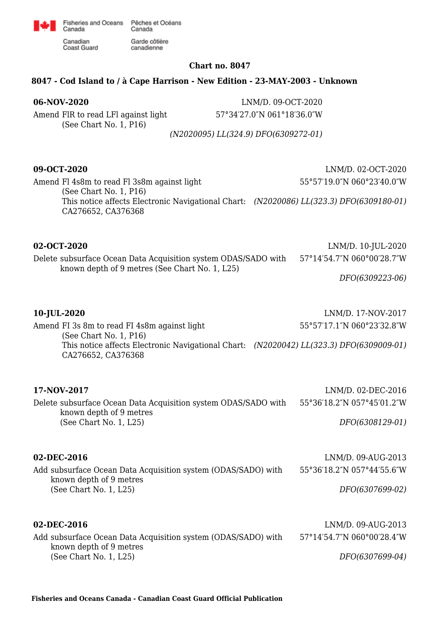

Fisheries and Oceans Pêches et Océans Canada Garde côtière

canadienne

Canadian **Coast Guard** 

Canada

### **Chart no. 8047**

## **8047 - Cod Island to / à Cape Harrison - New Edition - 23-MAY-2003 - Unknown**

Amend FlR to read LFl against light (See Chart No. 1, P16)

**06-NOV-2020** LNM/D. 09-OCT-2020 57°34′27.0″N 061°18′36.0″W

*(N2020095) LL(324.9) DFO(6309272-01)*

**09-OCT-2020** LNM/D. 02-OCT-2020 55°57′19.0″N 060°23′40.0″W

Amend Fl 4s8m to read Fl 3s8m against light (See Chart No. 1, P16) This notice affects Electronic Navigational Chart: *(N2020086) LL(323.3) DFO(6309180-01)* CA276652, CA376368

## **02-OCT-2020** LNM/D. 10-JUL-2020

### Delete subsurface Ocean Data Acquisition system ODAS/SADO with known depth of 9 metres (See Chart No. 1, L25) 57°14′54.7″N 060°00′28.7″W

*DFO(6309223-06)*

**10-JUL-2020** LNM/D. 17-NOV-2017

Amend FI 3s 8m to read FI 4s8m against light (See Chart No. 1, P16) This notice affects Electronic Navigational Chart: *(N2020042) LL(323.3) DFO(6309009-01)* CA276652, CA376368 55°57′17.1″N 060°23′32.8″W

| 17-NOV-2017                                                    | LNM/D. 02-DEC-2016         |
|----------------------------------------------------------------|----------------------------|
| Delete subsurface Ocean Data Acquisition system ODAS/SADO with | 55°36′18.2″N 057°45′01.2″W |
| known depth of 9 metres                                        |                            |
| (See Chart No. 1, L25)                                         | DFO(6308129-01)            |

### **02-DEC-2016** LNM/D. 09-AUG-2013

Add subsurface Ocean Data Acquisition system (ODAS/SADO) with known depth of 9 metres (See Chart No. 1, L25) 55°36′18.2″N 057°44′55.6″W *DFO(6307699-02)*

# **02-DEC-2016** LNM/D. 09-AUG-2013

| .                                                             | _________________          |
|---------------------------------------------------------------|----------------------------|
| Add subsurface Ocean Data Acquisition system (ODAS/SADO) with | 57°14′54.7″N 060°00′28.4″W |
| known depth of 9 metres                                       |                            |
| (See Chart No. $1, L25$ )                                     | DFO(6307699-04)            |